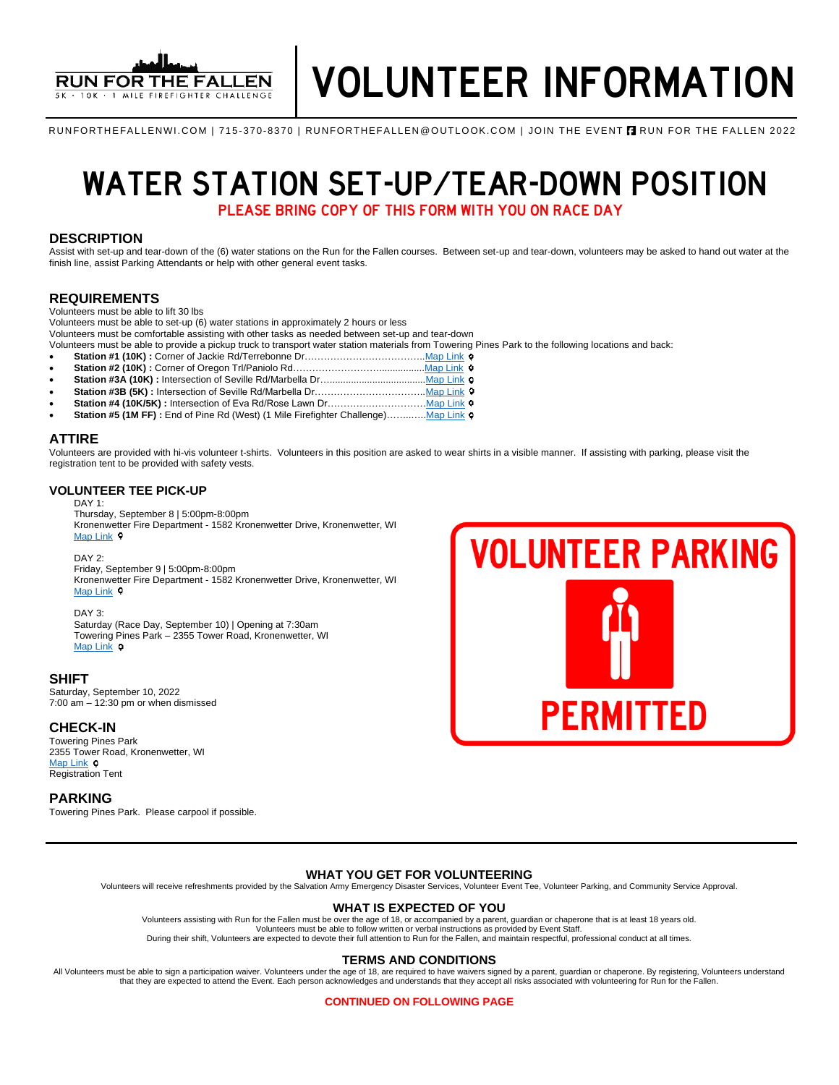

RUNFORTHEFALLENWI.COM | 715-370-8370 | RUNFORTHEFALLEN@OUTLOOK.COM | JOIN THE EVENT **A** RUN FOR THE FALLEN 2022

# WATER STATION SET-UP/TEAR-DOWN POSITION

PLEASE BRING COPY OF THIS FORM WITH YOU ON RACE DAY

#### **DESCRIPTION**

Assist with set-up and tear-down of the (6) water stations on the Run for the Fallen courses. Between set-up and tear-down, volunteers may be asked to hand out water at the finish line, assist Parking Attendants or help with other general event tasks.

#### **REQUIREMENTS**

Volunteers must be able to lift 30 lbs

Volunteers must be able to set-up (6) water stations in approximately 2 hours or less

Volunteers must be comfortable assisting with other tasks as needed between set-up and tear-down

Volunteers must be able to provide a pickup truck to transport water station materials from Towering Pines Park to the following locations and back:

- **Station #1 (10K) :** Corner of Jackie Rd/Terrebonne Dr………………………………[..Map Link](https://www.google.com/maps/place/Jackie+Rd+%26+Terrebonne+Dr,+Kronenwetter,+WI+54455/@44.8407356,-89.6264231,17z/data=!3m1!4b1!4m5!3m4!1s0x88003b57f433b6b9:0xed6a6a1f801fee07!8m2!3d44.8407356!4d-89.6242344)
- **Station #2 (10K) :** Corner of Oregon Trl/Paniolo Rd………………………................[.Map Link](https://www.google.com/maps/place/Paniolo+Rd+%26+Oregon+Trail,+Kronenwetter,+WI+54455/@44.8414569,-89.604856,17z/data=!3m1!4b1!4m5!3m4!1s0x88003b3741a21b65:0xb09539d29febde3e!8m2!3d44.8414569!4d-89.6026673)
- Station #3A (10K) : Intersection of Seville Rd/Marbella Dr….................... • **Station #3B (5K) :** Intersection of Seville Rd/Marbella Dr……………………………[..Map Link](https://www.google.com/maps/place/44%C2%B050)
- **Station #4 (10K/5K) :** Intersection of Eva Rd/Rose Lawn Dr………….……………[…Map Link](https://www.google.com/maps/search/Eva+Rd%2FRose+Lawn+Dr/@44.8565764,-89.6213298,17z/data=!3m1!4b1)
- Station #5 (1M FF) : End of Pine Rd (West) (1 Mile Firefighter Challenge).............. Map Link o

#### **ATTIRE**

Volunteers are provided with hi-vis volunteer t-shirts. Volunteers in this position are asked to wear shirts in a visible manner. If assisting with parking, please visit the registration tent to be provided with safety vests.

#### **VOLUNTEER TEE PICK-UP**

#### DAY 1:

Thursday, September 8 | 5:00pm-8:00pm Kronenwetter Fire Department - 1582 Kronenwetter Drive, Kronenwetter, WI [Map Link](https://www.google.com/maps/place/Kronenwetter+Municipal+Center/@44.8248446,-89.660818,19.47z/data=!4m13!1m7!3m6!1s0x88003ce3aeb11027:0x20ef4eee6649e333!2s1582+I-39+Frontage+Rd,+Mosinee,+WI+54455!3b1!8m2!3d44.824627!4d-89.660117!3m4!1s0x88003ce24bdc74cf:0x8af0c32b7425fe48!8m2!3d44.8246764!4d-89.6603861)  $\circ$ 

#### DAY 2:

Friday, September 9 | 5:00pm-8:00pm Kronenwetter Fire Department - 1582 Kronenwetter Drive, Kronenwetter, WI [Map Link](https://www.google.com/maps/place/Kronenwetter+Municipal+Center/@44.8248446,-89.660818,19.47z/data=!4m13!1m7!3m6!1s0x88003ce3aeb11027:0x20ef4eee6649e333!2s1582+I-39+Frontage+Rd,+Mosinee,+WI+54455!3b1!8m2!3d44.824627!4d-89.660117!3m4!1s0x88003ce24bdc74cf:0x8af0c32b7425fe48!8m2!3d44.8246764!4d-89.6603861) <sup>0</sup>

#### DAY 3:

Saturday (Race Day, September 10) | Opening at 7:30am Towering Pines Park – 2355 Tower Road, Kronenwetter, WI [Map Link](https://www.google.com/maps/place/Towering+Pines+Park,+2355+Tower+Rd,+Kronenwetter,+WI+54455/@44.8528983,-89.6321363,17z/data=!3m1!4b1!4m5!3m4!1s0x880023538874f34f:0xd3c0bf75b1048a81!8m2!3d44.8531686!4d-89.6301666)  $\circ$ 

#### **SHIFT**

Saturday, September 10, 2022 7:00 am – 12:30 pm or when dismissed

#### **CHECK-IN**

Towering Pines Park 2355 Tower Road, Kronenwetter, WI [Map Link](https://www.google.com/maps/place/Towering+Pines+Park,+2355+Tower+Rd,+Kronenwetter,+WI+54455/@44.8528983,-89.6321363,17z/data=!3m1!4b1!4m5!3m4!1s0x880023538874f34f:0xd3c0bf75b1048a81!8m2!3d44.8531686!4d-89.6301666) **o** Registration Tent

#### **PARKING**

Towering Pines Park. Please carpool if possible.



#### **WHAT YOU GET FOR VOLUNTEERING**

Volunteers will receive refreshments provided by the Salvation Army Emergency Disaster Services, Volunteer Event Tee, Volunteer Parking, and Community Service Approval.

#### **WHAT IS EXPECTED OF YOU**

Volunteers assisting with Run for the Fallen must be over the age of 18, or accompanied by a parent, guardian or chaperone that is at least 18 years old. Volunteers must be able to follow written or verbal instructions as provided by Event Staff.

During their shift, Volunteers are expected to devote their full attention to Run for the Fallen, and maintain respectful, professional conduct at all times.

#### **TERMS AND CONDITIONS**

All Volunteers must be able to sign a participation waiver. Volunteers under the age of 18, are required to have waivers signed by a parent, guardian or chaperone. By registering, Volunteers understand that they are expected to attend the Event. Each person acknowledges and understands that they accept all risks associated with volunteering for Run for the Fallen.